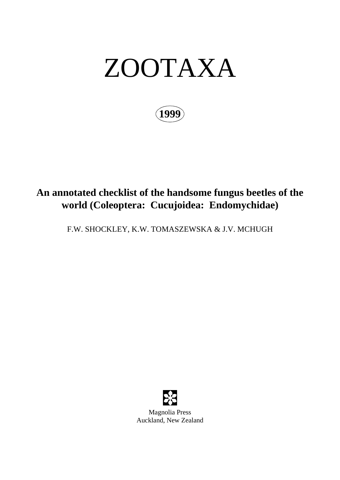# ZOOTAXA

**1999**

## **An annotated checklist of the handsome fungus beetles of the world (Coleoptera: Cucujoidea: Endomychidae)**

F.W. SHOCKLEY, K.W. TOMASZEWSKA & J.V. MCHUGH



Magnolia Press Auckland, New Zealand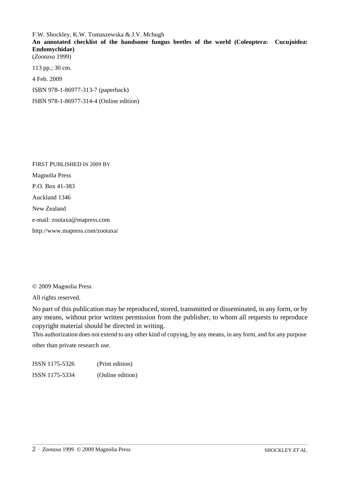F.W. Shockley, K.W. Tomaszewska & J.V. Mchugh **An annotated checklist of the handsome fungus beetles of the world (Coleoptera: Cucujoidea: Endomychidae)** (*Zootaxa* 1999)

113 pp.; 30 cm. 4 Feb. 2009

ISBN 978-1-86977-313-7 (paperback)

ISBN 978-1-86977-314-4 (Online edition)

FIRST PUBLISHED IN 2009 BY Magnolia Press P.O. Box 41-383 Auckland 1346 New Zealand e-mail: zootaxa@mapress.com http://www.mapress.com/zootaxa/

© 2009 Magnolia Press

All rights reserved.

No part of this publication may be reproduced, stored, transmitted or disseminated, in any form, or by any means, without prior written permission from the publisher, to whom all requests to reproduce copyright material should be directed in writing.

This authorization does not extend to any other kind of copying, by any means, in any form, and for any purpose

other than private research use.

ISSN 1175-5326 (Print edition) ISSN 1175-5334 (Online edition)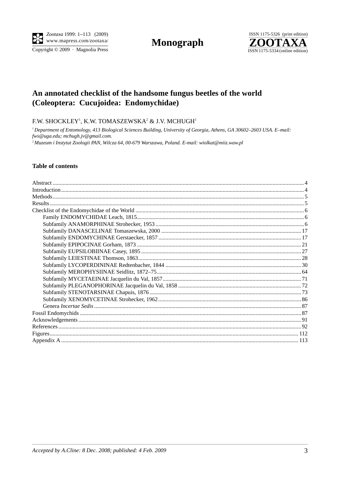Copyright © 2009 · Magnolia Press

Monograph



### An annotated checklist of the handsome fungus beetles of the world (Coleoptera: Cucujoidea: Endomychidae)

F.W. SHOCKLEY<sup>1</sup>, K.W. TOMASZEWSKA<sup>2</sup> & J.V. MCHUGH<sup>1</sup>

<sup>1</sup> Department of Entomology, 413 Biological Sciences Building, University of Georgia, Athens, GA 30602-2603 USA. E-mail: fws@uga.edu; mchugh.jv@gmail.com.

<sup>2</sup> Muzeum i Instytut Zoologii PAN, Wilcza 64, 00-679 Warszawa, Poland. E-mail: wiolkat@miiz.waw.pl

#### **Table of contents**